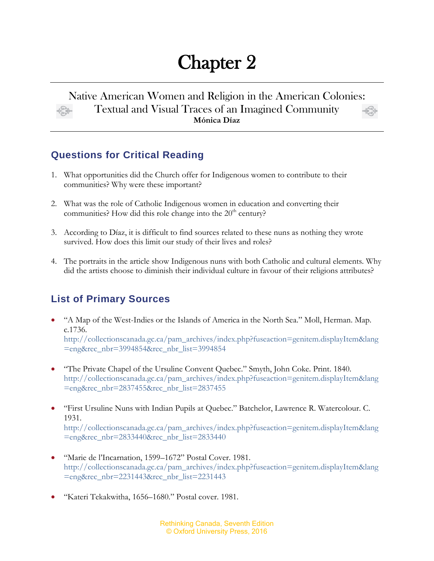# Chapter 2

#### Native American Women and Religion in the American Colonies: Textual and Visual Traces of an Imagined Community **Mónica Díaz**

## **Questions for Critical Reading**

- 1. What opportunities did the Church offer for Indigenous women to contribute to their communities? Why were these important?
- 2. What was the role of Catholic Indigenous women in education and converting their communities? How did this role change into the  $20<sup>th</sup>$  century?
- 3. According to Díaz, it is difficult to find sources related to these nuns as nothing they wrote survived. How does this limit our study of their lives and roles?
- 4. The portraits in the article show Indigenous nuns with both Catholic and cultural elements. Why did the artists choose to diminish their individual culture in favour of their religions attributes?

## **List of Primary Sources**

- "A Map of the West-Indies or the Islands of America in the North Sea." Moll, Herman. Map. c.1736. [http://collectionscanada.gc.ca/pam\\_archives/index.php?fuseaction=genitem.displayItem&lang](http://collectionscanada.gc.ca/pam_archives/index.php?fuseaction=genitem.displayItem&lang=eng&rec_nbr=3994854&rec_nbr_list=3994854) [=eng&rec\\_nbr=3994854&rec\\_nbr\\_list=3994854](http://collectionscanada.gc.ca/pam_archives/index.php?fuseaction=genitem.displayItem&lang=eng&rec_nbr=3994854&rec_nbr_list=3994854)
- "The Private Chapel of the Ursuline Convent Quebec." Smyth, John Coke. Print. 1840. [http://collectionscanada.gc.ca/pam\\_archives/index.php?fuseaction=genitem.displayItem&lang](http://collectionscanada.gc.ca/pam_archives/index.php?fuseaction=genitem.displayItem&lang=eng&rec_nbr=2837455&rec_nbr_list=2837455) [=eng&rec\\_nbr=2837455&rec\\_nbr\\_list=2837455](http://collectionscanada.gc.ca/pam_archives/index.php?fuseaction=genitem.displayItem&lang=eng&rec_nbr=2837455&rec_nbr_list=2837455)
- "First Ursuline Nuns with Indian Pupils at Quebec." Batchelor, Lawrence R. Watercolour. C. 1931. [http://collectionscanada.gc.ca/pam\\_archives/index.php?fuseaction=genitem.displayItem&lang](http://collectionscanada.gc.ca/pam_archives/index.php?fuseaction=genitem.displayItem&lang=eng&rec_nbr=2833440&rec_nbr_list=2833440) [=eng&rec\\_nbr=2833440&rec\\_nbr\\_list=2833440](http://collectionscanada.gc.ca/pam_archives/index.php?fuseaction=genitem.displayItem&lang=eng&rec_nbr=2833440&rec_nbr_list=2833440)
- "Marie de l'Incarnation, 1599–1672" Postal Cover. 1981. [http://collectionscanada.gc.ca/pam\\_archives/index.php?fuseaction=genitem.displayItem&lang](http://collectionscanada.gc.ca/pam_archives/index.php?fuseaction=genitem.displayItem&lang=eng&rec_nbr=2231443&rec_nbr_list=2231443) [=eng&rec\\_nbr=2231443&rec\\_nbr\\_list=2231443](http://collectionscanada.gc.ca/pam_archives/index.php?fuseaction=genitem.displayItem&lang=eng&rec_nbr=2231443&rec_nbr_list=2231443)
- "Kateri Tekakwitha, 1656–1680." Postal cover. 1981.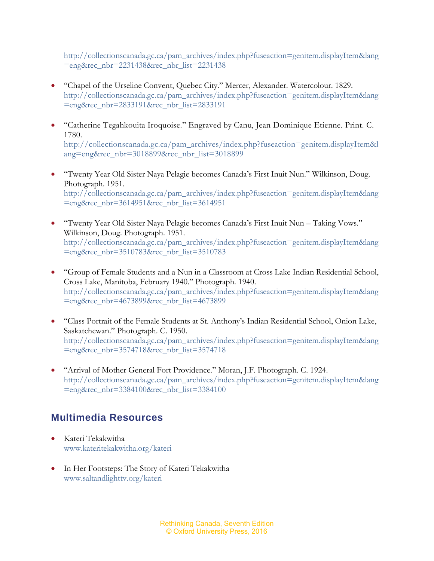[http://collectionscanada.gc.ca/pam\\_archives/index.php?fuseaction=genitem.displayItem&lang](http://collectionscanada.gc.ca/pam_archives/index.php?fuseaction=genitem.displayItem&lang=eng&rec_nbr=2231438&rec_nbr_list=2231438) [=eng&rec\\_nbr=2231438&rec\\_nbr\\_list=2231438](http://collectionscanada.gc.ca/pam_archives/index.php?fuseaction=genitem.displayItem&lang=eng&rec_nbr=2231438&rec_nbr_list=2231438)

- "Chapel of the Urseline Convent, Quebec City." Mercer, Alexander. Watercolour. 1829. [http://collectionscanada.gc.ca/pam\\_archives/index.php?fuseaction=genitem.displayItem&lang](http://collectionscanada.gc.ca/pam_archives/index.php?fuseaction=genitem.displayItem&lang=eng&rec_nbr=2833191&rec_nbr_list=2833191) [=eng&rec\\_nbr=2833191&rec\\_nbr\\_list=2833191](http://collectionscanada.gc.ca/pam_archives/index.php?fuseaction=genitem.displayItem&lang=eng&rec_nbr=2833191&rec_nbr_list=2833191)
- "Catherine Tegahkouita Iroquoise." Engraved by Canu, Jean Dominique Etienne. Print. C. 1780. [http://collectionscanada.gc.ca/pam\\_archives/index.php?fuseaction=genitem.displayItem&l](http://collectionscanada.gc.ca/pam_archives/index.php?fuseaction=genitem.displayItem&lang=eng&rec_nbr=3018899&rec_nbr_list=3018899) [ang=eng&rec\\_nbr=3018899&rec\\_nbr\\_list=3018899](http://collectionscanada.gc.ca/pam_archives/index.php?fuseaction=genitem.displayItem&lang=eng&rec_nbr=3018899&rec_nbr_list=3018899)
- "Twenty Year Old Sister Naya Pelagie becomes Canada's First Inuit Nun." Wilkinson, Doug. Photograph. 1951. [http://collectionscanada.gc.ca/pam\\_archives/index.php?fuseaction=genitem.displayItem&lang](http://collectionscanada.gc.ca/pam_archives/index.php?fuseaction=genitem.displayItem&lang=eng&rec_nbr=3614951&rec_nbr_list=3614951) [=eng&rec\\_nbr=3614951&rec\\_nbr\\_list=3614951](http://collectionscanada.gc.ca/pam_archives/index.php?fuseaction=genitem.displayItem&lang=eng&rec_nbr=3614951&rec_nbr_list=3614951)
- "Twenty Year Old Sister Naya Pelagie becomes Canada's First Inuit Nun Taking Vows." Wilkinson, Doug. Photograph. 1951. [http://collectionscanada.gc.ca/pam\\_archives/index.php?fuseaction=genitem.displayItem&lang](http://collectionscanada.gc.ca/pam_archives/index.php?fuseaction=genitem.displayItem&lang=eng&rec_nbr=3510783&rec_nbr_list=3510783) [=eng&rec\\_nbr=3510783&rec\\_nbr\\_list=3510783](http://collectionscanada.gc.ca/pam_archives/index.php?fuseaction=genitem.displayItem&lang=eng&rec_nbr=3510783&rec_nbr_list=3510783)
- "Group of Female Students and a Nun in a Classroom at Cross Lake Indian Residential School, Cross Lake, Manitoba, February 1940." Photograph. 1940. [http://collectionscanada.gc.ca/pam\\_archives/index.php?fuseaction=genitem.displayItem&lang](http://collectionscanada.gc.ca/pam_archives/index.php?fuseaction=genitem.displayItem&lang=eng&rec_nbr=4673899&rec_nbr_list=4673899) [=eng&rec\\_nbr=4673899&rec\\_nbr\\_list=4673899](http://collectionscanada.gc.ca/pam_archives/index.php?fuseaction=genitem.displayItem&lang=eng&rec_nbr=4673899&rec_nbr_list=4673899)
- "Class Portrait of the Female Students at St. Anthony's Indian Residential School, Onion Lake, Saskatchewan." Photograph. C. 1950. [http://collectionscanada.gc.ca/pam\\_archives/index.php?fuseaction=genitem.displayItem&lang](http://collectionscanada.gc.ca/pam_archives/index.php?fuseaction=genitem.displayItem&lang=eng&rec_nbr=3574718&rec_nbr_list=3574718) [=eng&rec\\_nbr=3574718&rec\\_nbr\\_list=3574718](http://collectionscanada.gc.ca/pam_archives/index.php?fuseaction=genitem.displayItem&lang=eng&rec_nbr=3574718&rec_nbr_list=3574718)
- "Arrival of Mother General Fort Providence." Moran, J.F. Photograph. C. 1924. [http://collectionscanada.gc.ca/pam\\_archives/index.php?fuseaction=genitem.displayItem&lang](http://collectionscanada.gc.ca/pam_archives/index.php?fuseaction=genitem.displayItem&lang=eng&rec_nbr=3384100&rec_nbr_list=3384100) [=eng&rec\\_nbr=3384100&rec\\_nbr\\_list=3384100](http://collectionscanada.gc.ca/pam_archives/index.php?fuseaction=genitem.displayItem&lang=eng&rec_nbr=3384100&rec_nbr_list=3384100)

#### **Multimedia Resources**

- Kateri Tekakwitha [www.kateritekakwitha.org/kateri](http://www.kateritekakwitha.org/kateri)
- In Her Footsteps: The Story of Kateri Tekakwitha [www.saltandlighttv.org/kateri](http://www.saltandlighttv.org/kateri)